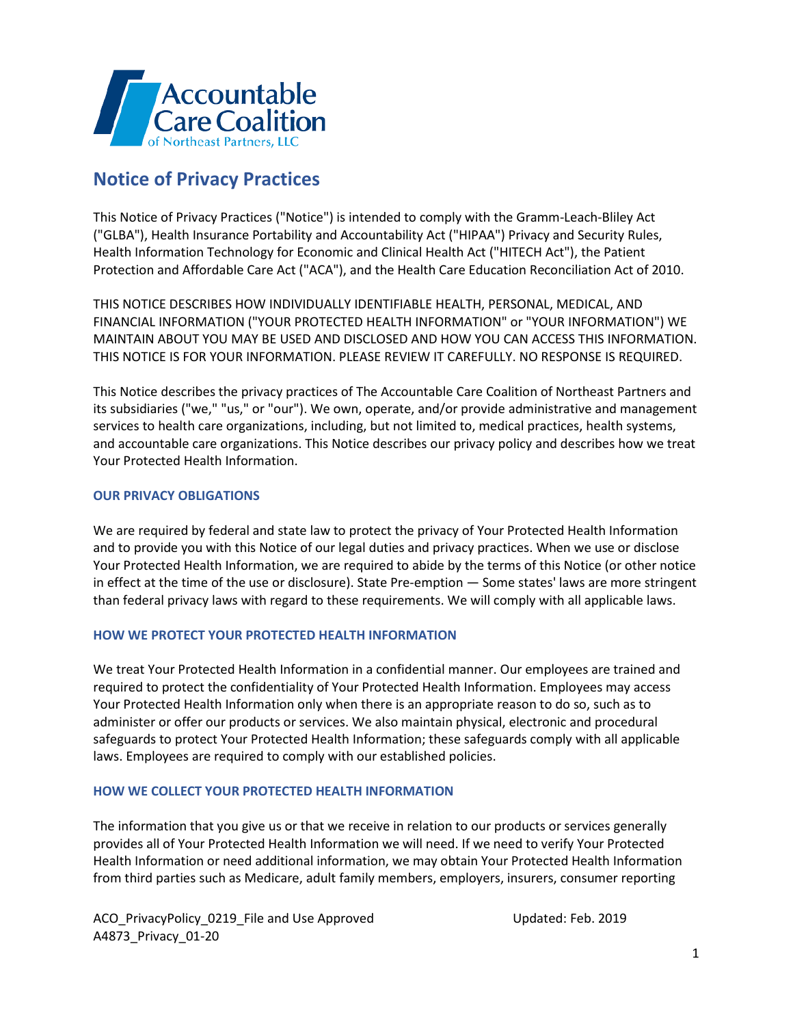

# **Notice of Privacy Practices**

This Notice of Privacy Practices ("Notice") is intended to comply with the Gramm-Leach-Bliley Act ("GLBA"), Health Insurance Portability and Accountability Act ("HIPAA") Privacy and Security Rules, Health Information Technology for Economic and Clinical Health Act ("HITECH Act"), the Patient Protection and Affordable Care Act ("ACA"), and the Health Care Education Reconciliation Act of 2010.

THIS NOTICE DESCRIBES HOW INDIVIDUALLY IDENTIFIABLE HEALTH, PERSONAL, MEDICAL, AND FINANCIAL INFORMATION ("YOUR PROTECTED HEALTH INFORMATION" or "YOUR INFORMATION") WE MAINTAIN ABOUT YOU MAY BE USED AND DISCLOSED AND HOW YOU CAN ACCESS THIS INFORMATION. THIS NOTICE IS FOR YOUR INFORMATION. PLEASE REVIEW IT CAREFULLY. NO RESPONSE IS REQUIRED.

This Notice describes the privacy practices of The Accountable Care Coalition of Northeast Partners and its subsidiaries ("we," "us," or "our"). We own, operate, and/or provide administrative and management services to health care organizations, including, but not limited to, medical practices, health systems, and accountable care organizations. This Notice describes our privacy policy and describes how we treat Your Protected Health Information.

# **OUR PRIVACY OBLIGATIONS**

We are required by federal and state law to protect the privacy of Your Protected Health Information and to provide you with this Notice of our legal duties and privacy practices. When we use or disclose Your Protected Health Information, we are required to abide by the terms of this Notice (or other notice in effect at the time of the use or disclosure). State Pre-emption — Some states' laws are more stringent than federal privacy laws with regard to these requirements. We will comply with all applicable laws.

## **HOW WE PROTECT YOUR PROTECTED HEALTH INFORMATION**

We treat Your Protected Health Information in a confidential manner. Our employees are trained and required to protect the confidentiality of Your Protected Health Information. Employees may access Your Protected Health Information only when there is an appropriate reason to do so, such as to administer or offer our products or services. We also maintain physical, electronic and procedural safeguards to protect Your Protected Health Information; these safeguards comply with all applicable laws. Employees are required to comply with our established policies.

## **HOW WE COLLECT YOUR PROTECTED HEALTH INFORMATION**

The information that you give us or that we receive in relation to our products or services generally provides all of Your Protected Health Information we will need. If we need to verify Your Protected Health Information or need additional information, we may obtain Your Protected Health Information from third parties such as Medicare, adult family members, employers, insurers, consumer reporting

ACO\_PrivacyPolicy\_0219\_File and Use Approved The Updated: Feb. 2019 A4873\_Privacy\_01-20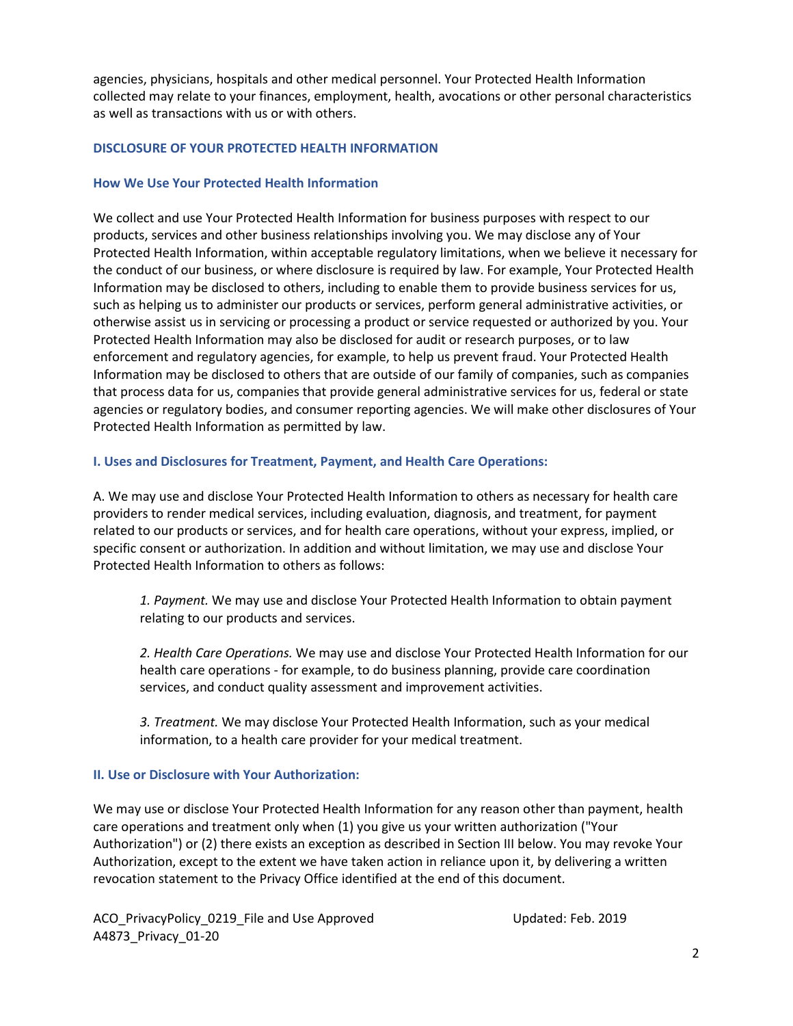agencies, physicians, hospitals and other medical personnel. Your Protected Health Information collected may relate to your finances, employment, health, avocations or other personal characteristics as well as transactions with us or with others.

#### **DISCLOSURE OF YOUR PROTECTED HEALTH INFORMATION**

#### **How We Use Your Protected Health Information**

We collect and use Your Protected Health Information for business purposes with respect to our products, services and other business relationships involving you. We may disclose any of Your Protected Health Information, within acceptable regulatory limitations, when we believe it necessary for the conduct of our business, or where disclosure is required by law. For example, Your Protected Health Information may be disclosed to others, including to enable them to provide business services for us, such as helping us to administer our products or services, perform general administrative activities, or otherwise assist us in servicing or processing a product or service requested or authorized by you. Your Protected Health Information may also be disclosed for audit or research purposes, or to law enforcement and regulatory agencies, for example, to help us prevent fraud. Your Protected Health Information may be disclosed to others that are outside of our family of companies, such as companies that process data for us, companies that provide general administrative services for us, federal or state agencies or regulatory bodies, and consumer reporting agencies. We will make other disclosures of Your Protected Health Information as permitted by law.

#### **I. Uses and Disclosures for Treatment, Payment, and Health Care Operations:**

A. We may use and disclose Your Protected Health Information to others as necessary for health care providers to render medical services, including evaluation, diagnosis, and treatment, for payment related to our products or services, and for health care operations, without your express, implied, or specific consent or authorization. In addition and without limitation, we may use and disclose Your Protected Health Information to others as follows:

*1. Payment.* We may use and disclose Your Protected Health Information to obtain payment relating to our products and services.

*2. Health Care Operations.* We may use and disclose Your Protected Health Information for our health care operations - for example, to do business planning, provide care coordination services, and conduct quality assessment and improvement activities.

*3. Treatment.* We may disclose Your Protected Health Information, such as your medical information, to a health care provider for your medical treatment.

## **II. Use or Disclosure with Your Authorization:**

We may use or disclose Your Protected Health Information for any reason other than payment, health care operations and treatment only when (1) you give us your written authorization ("Your Authorization") or (2) there exists an exception as described in Section III below. You may revoke Your Authorization, except to the extent we have taken action in reliance upon it, by delivering a written revocation statement to the Privacy Office identified at the end of this document.

ACO\_PrivacyPolicy\_0219\_File and Use Approved Updated: Feb. 2019 A4873\_Privacy\_01-20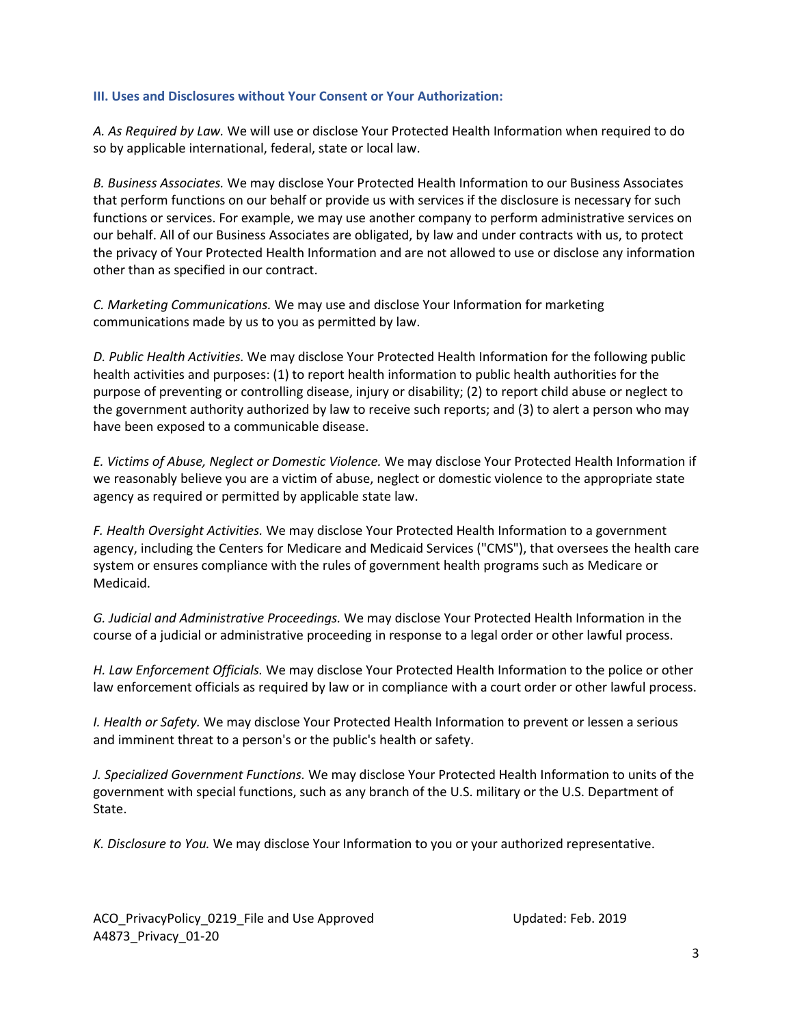#### **III. Uses and Disclosures without Your Consent or Your Authorization:**

*A. As Required by Law.* We will use or disclose Your Protected Health Information when required to do so by applicable international, federal, state or local law.

*B. Business Associates.* We may disclose Your Protected Health Information to our Business Associates that perform functions on our behalf or provide us with services if the disclosure is necessary for such functions or services. For example, we may use another company to perform administrative services on our behalf. All of our Business Associates are obligated, by law and under contracts with us, to protect the privacy of Your Protected Health Information and are not allowed to use or disclose any information other than as specified in our contract.

*C. Marketing Communications.* We may use and disclose Your Information for marketing communications made by us to you as permitted by law.

*D. Public Health Activities.* We may disclose Your Protected Health Information for the following public health activities and purposes: (1) to report health information to public health authorities for the purpose of preventing or controlling disease, injury or disability; (2) to report child abuse or neglect to the government authority authorized by law to receive such reports; and (3) to alert a person who may have been exposed to a communicable disease.

*E. Victims of Abuse, Neglect or Domestic Violence.* We may disclose Your Protected Health Information if we reasonably believe you are a victim of abuse, neglect or domestic violence to the appropriate state agency as required or permitted by applicable state law.

*F. Health Oversight Activities.* We may disclose Your Protected Health Information to a government agency, including the Centers for Medicare and Medicaid Services ("CMS"), that oversees the health care system or ensures compliance with the rules of government health programs such as Medicare or Medicaid.

*G. Judicial and Administrative Proceedings.* We may disclose Your Protected Health Information in the course of a judicial or administrative proceeding in response to a legal order or other lawful process.

*H. Law Enforcement Officials.* We may disclose Your Protected Health Information to the police or other law enforcement officials as required by law or in compliance with a court order or other lawful process.

*I. Health or Safety.* We may disclose Your Protected Health Information to prevent or lessen a serious and imminent threat to a person's or the public's health or safety.

*J. Specialized Government Functions.* We may disclose Your Protected Health Information to units of the government with special functions, such as any branch of the U.S. military or the U.S. Department of State.

*K. Disclosure to You.* We may disclose Your Information to you or your authorized representative.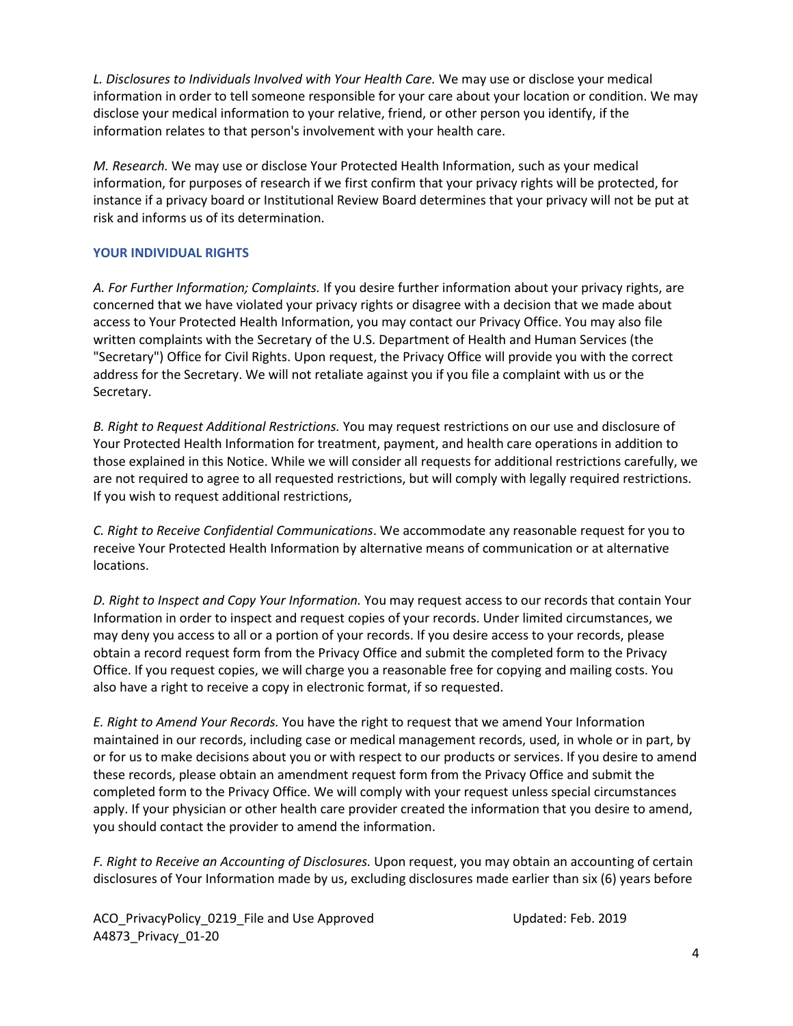*L. Disclosures to Individuals Involved with Your Health Care.* We may use or disclose your medical information in order to tell someone responsible for your care about your location or condition. We may disclose your medical information to your relative, friend, or other person you identify, if the information relates to that person's involvement with your health care.

*M. Research.* We may use or disclose Your Protected Health Information, such as your medical information, for purposes of research if we first confirm that your privacy rights will be protected, for instance if a privacy board or Institutional Review Board determines that your privacy will not be put at risk and informs us of its determination.

# **YOUR INDIVIDUAL RIGHTS**

*A. For Further Information; Complaints.* If you desire further information about your privacy rights, are concerned that we have violated your privacy rights or disagree with a decision that we made about access to Your Protected Health Information, you may contact our Privacy Office. You may also file written complaints with the Secretary of the U.S. Department of Health and Human Services (the "Secretary") Office for Civil Rights. Upon request, the Privacy Office will provide you with the correct address for the Secretary. We will not retaliate against you if you file a complaint with us or the Secretary.

*B. Right to Request Additional Restrictions.* You may request restrictions on our use and disclosure of Your Protected Health Information for treatment, payment, and health care operations in addition to those explained in this Notice. While we will consider all requests for additional restrictions carefully, we are not required to agree to all requested restrictions, but will comply with legally required restrictions. If you wish to request additional restrictions,

*C. Right to Receive Confidential Communications*. We accommodate any reasonable request for you to receive Your Protected Health Information by alternative means of communication or at alternative locations.

*D. Right to Inspect and Copy Your Information.* You may request access to our records that contain Your Information in order to inspect and request copies of your records. Under limited circumstances, we may deny you access to all or a portion of your records. If you desire access to your records, please obtain a record request form from the Privacy Office and submit the completed form to the Privacy Office. If you request copies, we will charge you a reasonable free for copying and mailing costs. You also have a right to receive a copy in electronic format, if so requested.

*E. Right to Amend Your Records.* You have the right to request that we amend Your Information maintained in our records, including case or medical management records, used, in whole or in part, by or for us to make decisions about you or with respect to our products or services. If you desire to amend these records, please obtain an amendment request form from the Privacy Office and submit the completed form to the Privacy Office. We will comply with your request unless special circumstances apply. If your physician or other health care provider created the information that you desire to amend, you should contact the provider to amend the information.

*F. Right to Receive an Accounting of Disclosures.* Upon request, you may obtain an accounting of certain disclosures of Your Information made by us, excluding disclosures made earlier than six (6) years before

ACO\_PrivacyPolicy\_0219\_File and Use Approved The Updated: Feb. 2019 A4873\_Privacy\_01-20